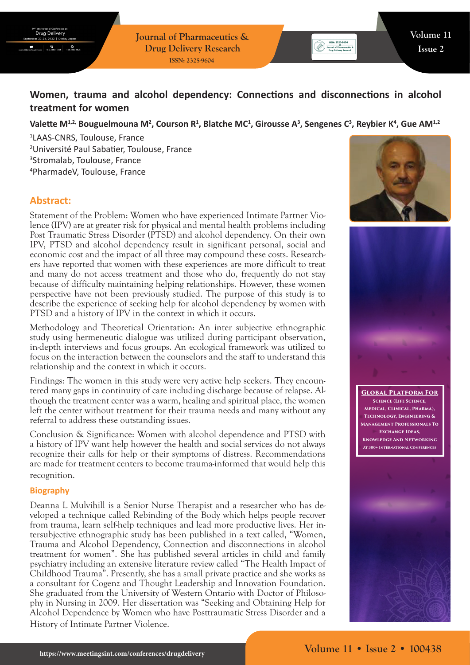**Journal of Pharmaceutics & Drug Delivery Research ISSN: 2325-9604**

# **Women, trauma and alcohol dependency: Connections and disconnections in alcohol treatment for women**

## Valette M<sup>1,2,</sup> Bouguelmouna M<sup>2</sup>, Courson R<sup>1</sup>, Blatche MC<sup>1</sup>, Girousse A<sup>3</sup>, Sengenes C<sup>3</sup>, Reybier K<sup>4</sup>, Gue AM<sup>1,2</sup>

 LAAS-CNRS, Toulouse, France Université Paul Sabatier, Toulouse, France Stromalab, Toulouse, France PharmadeV, Toulouse, France

## **Abstract:**

Statement of the Problem: Women who have experienced Intimate Partner Violence (IPV) are at greater risk for physical and mental health problems including Post Traumatic Stress Disorder (PTSD) and alcohol dependency. On their own IPV, PTSD and alcohol dependency result in significant personal, social and economic cost and the impact of all three may compound these costs. Researchers have reported that women with these experiences are more difficult to treat and many do not access treatment and those who do, frequently do not stay because of difficulty maintaining helping relationships. However, these women perspective have not been previously studied. The purpose of this study is to describe the experience of seeking help for alcohol dependency by women with PTSD and a history of IPV in the context in which it occurs.

Methodology and Theoretical Orientation: An inter subjective ethnographic study using hermeneutic dialogue was utilized during participant observation, in-depth interviews and focus groups. An ecological framework was utilized to focus on the interaction between the counselors and the staff to understand this relationship and the context in which it occurs.

Findings: The women in this study were very active help seekers. They encountered many gaps in continuity of care including discharge because of relapse. Although the treatment center was a warm, healing and spiritual place, the women left the center without treatment for their trauma needs and many without any referral to address these outstanding issues.

Conclusion & Significance: Women with alcohol dependence and PTSD with a history of IPV want help however the health and social services do not always recognize their calls for help or their symptoms of distress. Recommendations are made for treatment centers to become trauma-informed that would help this recognition.

### **Biography**

Deanna L Mulvihill is a Senior Nurse Therapist and a researcher who has developed a technique called Rebinding of the Body which helps people recover from trauma, learn self-help techniques and lead more productive lives. Her intersubjective ethnographic study has been published in a text called, "Women, Trauma and Alcohol Dependency, Connection and disconnections in alcohol treatment for women". She has published several articles in child and family psychiatry including an extensive literature review called "The Health Impact of Childhood Trauma". Presently, she has a small private practice and she works as a consultant for Cogenz and Thought Leadership and Innovation Foundation. She graduated from the University of Western Ontario with Doctor of Philosophy in Nursing in 2009. Her dissertation was "Seeking and Obtaining Help for Alcohol Dependence by Women who have Posttraumatic Stress Disorder and a History of Intimate Partner Violence.





**Global Platform For Science (Life Science, Medical, Clinical, Pharma), Technology, Engineering & Management Professionals To Exchange Ideas, Knowledge And Networking At 300+ International Conferences**